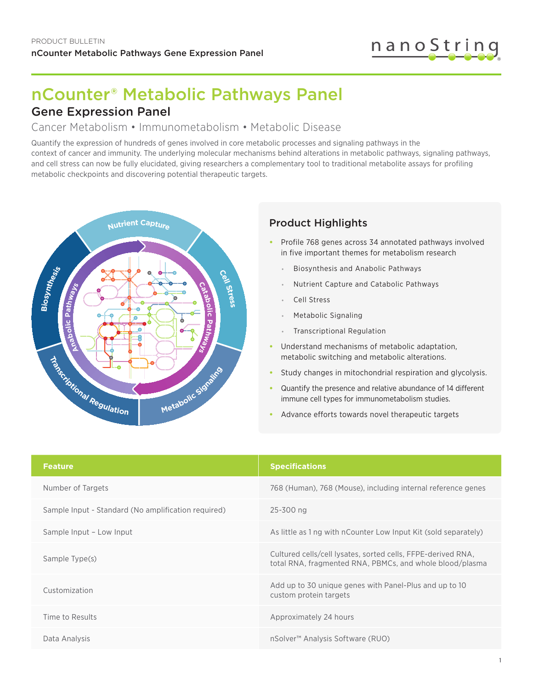

# nCounter® Metabolic Pathways Panel

# Gene Expression Panel

#### Cancer Metabolism • Immunometabolism • Metabolic Disease

Quantify the expression of hundreds of genes involved in core metabolic processes and signaling pathways in the context of cancer and immunity. The underlying molecular mechanisms behind alterations in metabolic pathways, signaling pathways, and cell stress can now be fully elucidated, giving researchers a complementary tool to traditional metabolite assays for profiling metabolic checkpoints and discovering potential therapeutic targets.



#### Product Highlights

- **•** Profile 768 genes across 34 annotated pathways involved in five important themes for metabolism research
	- **•** Biosynthesis and Anabolic Pathways
	- **•** Nutrient Capture and Catabolic Pathways
	- **•** Cell Stress
	- **•** Metabolic Signaling
	- **•** Transcriptional Regulation
- **•** Understand mechanisms of metabolic adaptation, metabolic switching and metabolic alterations.
- **•** Study changes in mitochondrial respiration and glycolysis.
- **•** Quantify the presence and relative abundance of 14 different immune cell types for immunometabolism studies.
- **•** Advance efforts towards novel therapeutic targets

| <b>Feature</b>                                      | <b>Specifications</b>                                                                                                    |
|-----------------------------------------------------|--------------------------------------------------------------------------------------------------------------------------|
| Number of Targets                                   | 768 (Human), 768 (Mouse), including internal reference genes                                                             |
| Sample Input - Standard (No amplification required) | 25-300 ng                                                                                                                |
| Sample Input - Low Input                            | As little as 1 ng with nCounter Low Input Kit (sold separately)                                                          |
| Sample Type(s)                                      | Cultured cells/cell lysates, sorted cells, FFPE-derived RNA,<br>total RNA, fragmented RNA, PBMCs, and whole blood/plasma |
| Customization                                       | Add up to 30 unique genes with Panel-Plus and up to 10<br>custom protein targets                                         |
| Time to Results                                     | Approximately 24 hours                                                                                                   |
| Data Analysis                                       | nSolver <sup>™</sup> Analysis Software (RUO)                                                                             |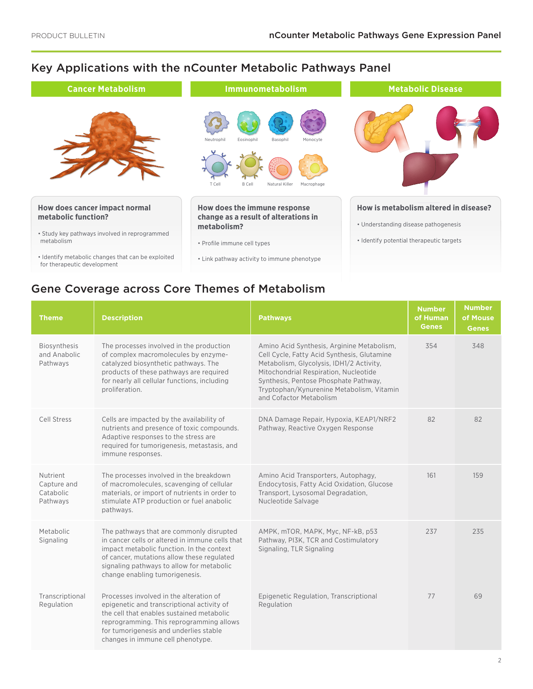# Key Applications with the nCounter Metabolic Pathways Panel Key Applications with the nCounter® Metabolic Pathways Panel



# Gene Coverage across Core Themes of Metabolism

| <b>Theme</b>                                     | <b>Description</b>                                                                                                                                                                                                                                                    | <b>Pathways</b>                                                                                                                                                                                                                                                                                 | <b>Number</b><br>of Human<br><b>Genes</b> | <b>Number</b><br>of Mouse<br><b>Genes</b> |
|--------------------------------------------------|-----------------------------------------------------------------------------------------------------------------------------------------------------------------------------------------------------------------------------------------------------------------------|-------------------------------------------------------------------------------------------------------------------------------------------------------------------------------------------------------------------------------------------------------------------------------------------------|-------------------------------------------|-------------------------------------------|
| <b>Biosynthesis</b><br>and Anabolic<br>Pathways  | The processes involved in the production<br>of complex macromolecules by enzyme-<br>catalyzed biosynthetic pathways. The<br>products of these pathways are required<br>for nearly all cellular functions, including<br>proliferation.                                 | Amino Acid Synthesis, Arginine Metabolism,<br>Cell Cycle, Fatty Acid Synthesis, Glutamine<br>Metabolism, Glycolysis, IDH1/2 Activity,<br>Mitochondrial Respiration, Nucleotide<br>Synthesis, Pentose Phosphate Pathway,<br>Tryptophan/Kynurenine Metabolism, Vitamin<br>and Cofactor Metabolism | 354                                       | 348                                       |
| Cell Stress                                      | Cells are impacted by the availability of<br>nutrients and presence of toxic compounds.<br>Adaptive responses to the stress are<br>required for tumorigenesis, metastasis, and<br>immune responses.                                                                   | DNA Damage Repair, Hypoxia, KEAP1/NRF2<br>Pathway, Reactive Oxygen Response                                                                                                                                                                                                                     | 82                                        | 82                                        |
| Nutrient<br>Capture and<br>Catabolic<br>Pathways | The processes involved in the breakdown<br>of macromolecules, scavenging of cellular<br>materials, or import of nutrients in order to<br>stimulate ATP production or fuel anabolic<br>pathways.                                                                       | Amino Acid Transporters, Autophagy,<br>Endocytosis, Fatty Acid Oxidation, Glucose<br>Transport, Lysosomal Degradation,<br>Nucleotide Salvage                                                                                                                                                    | 161                                       | 159                                       |
| Metabolic<br>Signaling                           | The pathways that are commonly disrupted<br>in cancer cells or altered in immune cells that<br>impact metabolic function. In the context<br>of cancer, mutations allow these regulated<br>signaling pathways to allow for metabolic<br>change enabling tumorigenesis. | AMPK, mTOR, MAPK, Myc, NF-kB, p53<br>Pathway, PI3K, TCR and Costimulatory<br>Signaling, TLR Signaling                                                                                                                                                                                           | 237                                       | 235                                       |
| Transcriptional<br>Regulation                    | Processes involved in the alteration of<br>epigenetic and transcriptional activity of<br>the cell that enables sustained metabolic<br>reprogramming. This reprogramming allows<br>for tumorigenesis and underlies stable<br>changes in immune cell phenotype.         | Epigenetic Regulation, Transcriptional<br>Regulation                                                                                                                                                                                                                                            | 77                                        | 69                                        |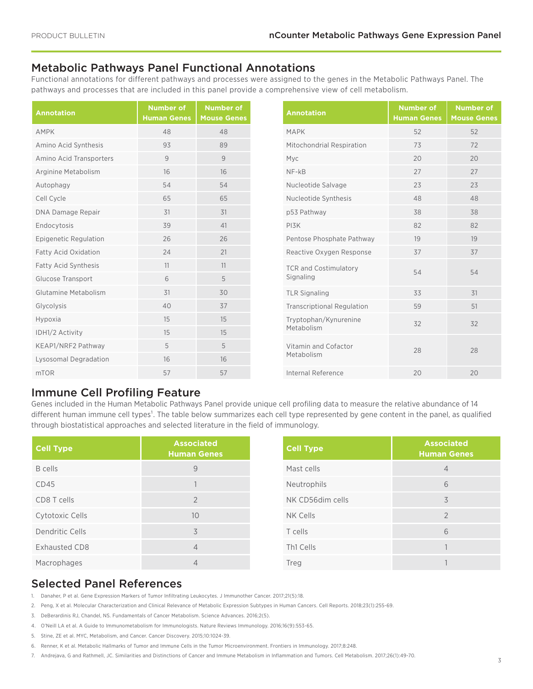# Metabolic Pathways Panel Functional Annotations

Functional annotations for different pathways and processes were assigned to the genes in the Metabolic Pathways Panel. The pathways and processes that are included in this panel provide a comprehensive view of cell metabolism.

| <b>Annotation</b>           | <b>Number of</b><br><b>Human Genes</b> | <b>Number of</b><br><b>Mouse Genes</b> |
|-----------------------------|----------------------------------------|----------------------------------------|
| <b>AMPK</b>                 | 48                                     | 48                                     |
| Amino Acid Synthesis        | 93                                     | 89                                     |
| Amino Acid Transporters     | 9                                      | 9                                      |
| Arginine Metabolism         | 16                                     | 16                                     |
| Autophagy                   | 54                                     | 54                                     |
| Cell Cycle                  | 65                                     | 65                                     |
| DNA Damage Repair           | 31                                     | 31                                     |
| Endocytosis                 | 39                                     | 41                                     |
| Epigenetic Regulation       | 26                                     | 26                                     |
| <b>Fatty Acid Oxidation</b> | 24                                     | 21                                     |
| Fatty Acid Synthesis        | 11                                     | 11                                     |
| <b>Glucose Transport</b>    | 6                                      | 5                                      |
| Glutamine Metabolism        | 31                                     | 30                                     |
| Glycolysis                  | 40                                     | 37                                     |
| Hypoxia                     | 15                                     | 15                                     |
| IDH1/2 Activity             | 15                                     | 15                                     |
| KEAP1/NRF2 Pathway          | 5                                      | 5                                      |
| Lysosomal Degradation       | 16                                     | 16                                     |
| mTOR                        | 57                                     | 57                                     |

| <b>Annotation</b>                         | <b>Number of</b><br><b>Human Genes</b> | <b>Number of</b><br><b>Mouse Genes</b> |
|-------------------------------------------|----------------------------------------|----------------------------------------|
| <b>MAPK</b>                               | 52                                     | 52                                     |
| Mitochondrial Respiration                 | 73                                     | 72                                     |
| Myc                                       | 20                                     | 20                                     |
| $NF-kB$                                   | 27                                     | 27                                     |
| Nucleotide Salvage                        | 23                                     | 23                                     |
| Nucleotide Synthesis                      | 48                                     | 48                                     |
| p53 Pathway                               | 38                                     | 38                                     |
| PI3K                                      | 82                                     | 82                                     |
| Pentose Phosphate Pathway                 | 19                                     | 19                                     |
| Reactive Oxygen Response                  | 37                                     | 37                                     |
| <b>TCR and Costimulatory</b><br>Signaling | 54                                     | 54                                     |
| <b>TLR Signaling</b>                      | 33                                     | 31                                     |
| <b>Transcriptional Regulation</b>         | 59                                     | 51                                     |
| Tryptophan/Kynurenine<br>Metabolism       | 32                                     | 32                                     |
| Vitamin and Cofactor<br>Metabolism        | 28                                     | 28                                     |
| Internal Reference                        | 20                                     | 20                                     |

### Immune Cell Profiling Feature

Genes included in the Human Metabolic Pathways Panel provide unique cell profiling data to measure the relative abundance of 14 different human immune cell types<sup>1</sup>. The table below summarizes each cell type represented by gene content in the panel, as qualified through biostatistical approaches and selected literature in the field of immunology.

| <b>Cell Type</b> | <b>Associated</b><br><b>Human Genes</b> | <b>Cell Type</b> | <b>Associated</b><br><b>Human Genes</b> |
|------------------|-----------------------------------------|------------------|-----------------------------------------|
| B cells          | 9                                       | Mast cells       | $\overline{4}$                          |
| CD45             |                                         | Neutrophils      | 6                                       |
| CD8 T cells      | $\overline{2}$                          | NK CD56dim cells | 3                                       |
| Cytotoxic Cells  | 10                                      | NK Cells         | $\mathcal{P}$                           |
| Dendritic Cells  | 3                                       | T cells          | 6                                       |
| Exhausted CD8    | 4                                       | Th1 Cells        |                                         |
| Macrophages      | 4                                       | Treg             |                                         |

# Selected Panel References

1. Danaher, P et al. Gene Expression Markers of Tumor Infiltrating Leukocytes. J Immunother Cancer. 2017;21(5):18.

- 2. Peng, X et al. Molecular Characterization and Clinical Relevance of Metabolic Expression Subtypes in Human Cancers. Cell Reports. 2018;23(1):255-69.
- 3. DeBerardinis RJ, Chandel, NS. Fundamentals of Cancer Metabolism. Science Advances. 2016;2(5).
- 4. O'Neill LA et al. A Guide to Immunometabolism for Immunologists. Nature Reviews Immunology. 2016;16(9):553-65.
- 5. Stine, ZE et al. MYC, Metabolism, and Cancer. Cancer Discovery. 2015;10:1024-39.
- 6. Renner, K et al. Metabolic Hallmarks of Tumor and Immune Cells in the Tumor Microenvironment. Frontiers in Immunology. 2017;8:248.
- 7. Andrejava, G and Rathmell, JC. Similarities and Distinctions of Cancer and Immune Metabolism in Inflammation and Tumors. Cell Metabolism. 2017;26(1):49-70.